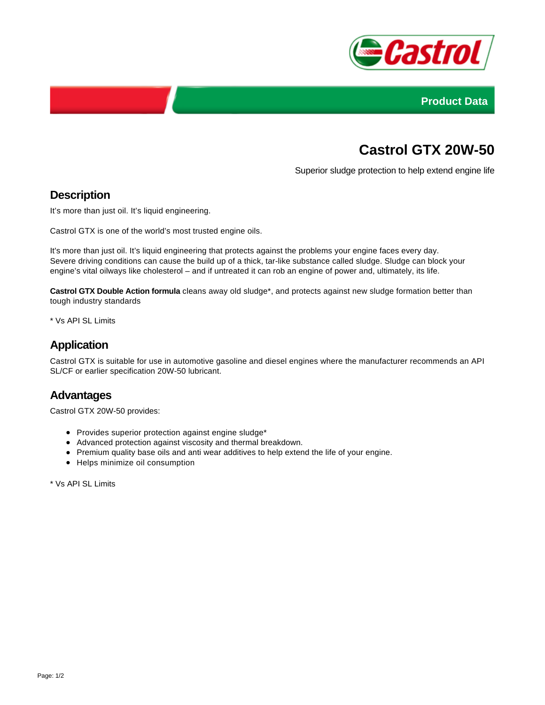



# **Castrol GTX 20W-50**

Superior sludge protection to help extend engine life

## **Description**

It's more than just oil. It's liquid engineering.

Castrol GTX is one of the world's most trusted engine oils.

It's more than just oil. It's liquid engineering that protects against the problems your engine faces every day. Severe driving conditions can cause the build up of a thick, tar-like substance called sludge. Sludge can block your engine's vital oilways like cholesterol – and if untreated it can rob an engine of power and, ultimately, its life.

**Castrol GTX Double Action formula** cleans away old sludge\*, and protects against new sludge formation better than tough industry standards

\* Vs API SL Limits

# **Application**

Castrol GTX is suitable for use in automotive gasoline and diesel engines where the manufacturer recommends an API SL/CF or earlier specification 20W-50 lubricant.

#### **Advantages**

Castrol GTX 20W-50 provides:

- Provides superior protection against engine sludge\*
- Advanced protection against viscosity and thermal breakdown.
- Premium quality base oils and anti wear additives to help extend the life of your engine.
- Helps minimize oil consumption

\* Vs API SL Limits